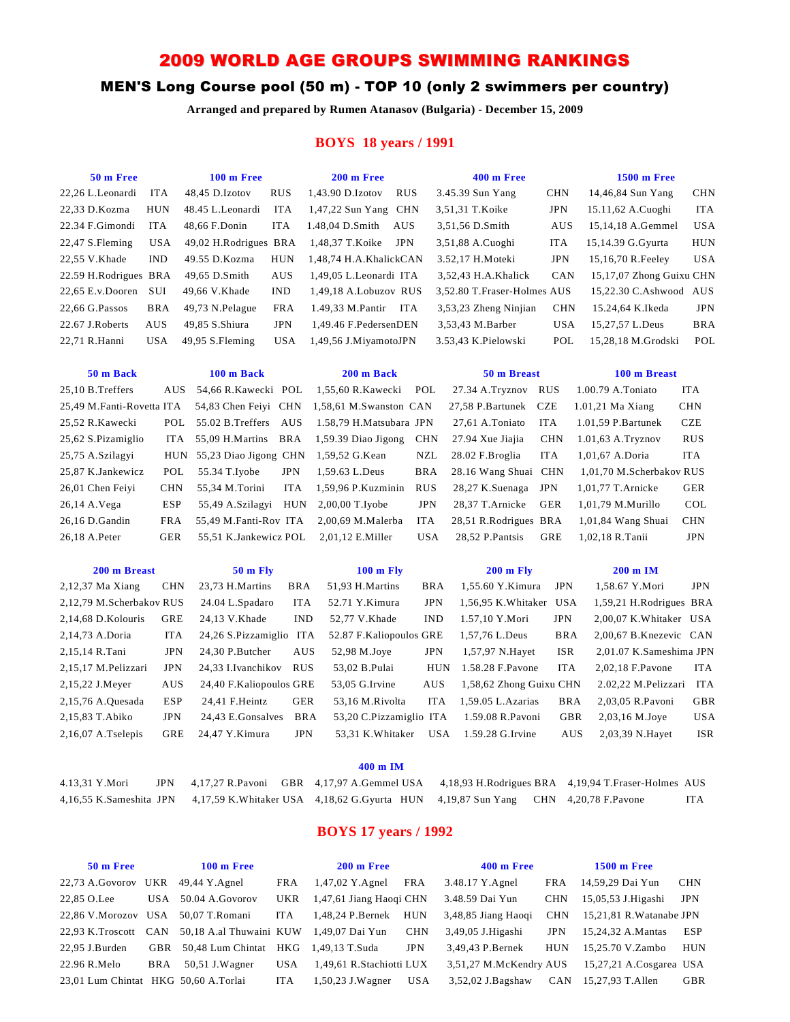# 2009 WORLD AGE GROUPS SWIMMING RANKINGS

# MEN'S Long Course pool (50 m) - TOP 10 (only 2 swimmers per country)

**Arranged and prepared by Rumen Atanasov (Bulgaria) - December 15, 2009**

## **BOYS 18 years / 1991**

| 48,45 D.Izotov<br><b>RUS</b><br>3.45.39 Sun Yang<br>22,26 L.Leonardi<br><b>ITA</b><br>1,43.90 D.Izotov<br><b>RUS</b><br>22,33 D.Kozma<br>HUN<br>48.45 L.Leonardi<br>ITA<br>$1,47,22$ Sun Yang CHN<br>3,51,31 T.Koike | <b>CHN</b> |                          |            |
|----------------------------------------------------------------------------------------------------------------------------------------------------------------------------------------------------------------------|------------|--------------------------|------------|
|                                                                                                                                                                                                                      |            | 14,46,84 Sun Yang        | <b>CHN</b> |
|                                                                                                                                                                                                                      | JPN        | 15.11,62 A.Cuoghi        | <b>ITA</b> |
| 22.34 F.Gimondi<br><b>ITA</b><br>48,66 F.Donin<br><b>ITA</b><br>1.48,04 D.Smith<br>AUS<br>3,51,56 D.Smith                                                                                                            | AUS        | 15,14,18 A.Gemmel        | <b>USA</b> |
| <b>USA</b><br>49,02 H.Rodrigues BRA<br><b>JPN</b><br>22,47 S.Fleming<br>1,48,37 T.Koike<br>3,51,88 A.Cuoghi                                                                                                          | <b>ITA</b> | 15,14.39 G.Gyurta        | <b>HUN</b> |
| <b>IND</b><br><b>HUN</b><br>22,55 V.Khade<br>49.55 D.Kozma<br>1,48,74 H.A.KhalickCAN<br>3.52,17 H.Moteki                                                                                                             | <b>JPN</b> | 15,16,70 R.Feeley        | <b>USA</b> |
| 22.59 H.Rodrigues BRA<br>49,65 D.Smith<br>AUS<br>1,49,05 L.Leonardi ITA<br>3,52,43 H.A.Khalick                                                                                                                       | CAN        | 15,17,07 Zhong Guixu CHN |            |
| SUI<br>22,65 E.v.Dooren<br>49,66 V.Khade<br><b>IND</b><br>1,49,18 A.Lobuzov RUS<br>3,52.80 T.Fraser-Holmes AUS                                                                                                       |            | 15,22.30 C.Ashwood AUS   |            |
| 22,66 G.Passos<br><b>BRA</b><br>49,73 N.Pelague<br><b>FRA</b><br>1.49,33 M.Pantir ITA<br>3,53,23 Zheng Ninjian                                                                                                       | <b>CHN</b> | 15.24,64 K.Ikeda         | <b>JPN</b> |
| <b>JPN</b><br>AUS<br>49,85 S.Shiura<br>1,49.46 F.PedersenDEN<br>3,53,43 M.Barber<br>22.67 J.Roberts                                                                                                                  | <b>USA</b> | 15,27,57 L.Deus          | <b>BRA</b> |
| <b>USA</b><br><b>USA</b><br>3.53,43 K.Pielowski<br>22,71 R.Hanni<br>49,95 S.Fleming<br>1,49,56 J.MiyamotoJPN                                                                                                         | POL        | 15,28,18 M.Grodski       | POL        |
| 50 m Back<br>100 m Back<br>50 m Breast<br>200 m Back                                                                                                                                                                 |            | 100 m Breast             |            |
| 25,10 B.Treffers<br>54,66 R.Kawecki POL<br>1,55,60 R.Kawecki<br>27.34 A.Tryznov<br><b>AUS</b><br>POL                                                                                                                 | <b>RUS</b> | 1.00.79 A.Toniato        | <b>ITA</b> |
| 25,49 M.Fanti-Rovetta ITA<br>54,83 Chen Feiyi CHN<br>1,58,61 M.Swanston CAN<br>27,58 P.Bartunek                                                                                                                      | <b>CZE</b> | 1.01,21 Ma Xiang         | <b>CHN</b> |
| POL<br>25,52 R.Kawecki<br>55.02 B.Treffers<br>AUS<br>1.58,79 H.Matsubara JPN<br>27,61 A.Toniato                                                                                                                      | <b>ITA</b> | 1.01,59 P.Bartunek       | <b>CZE</b> |
| <b>ITA</b><br>55,09 H.Martins BRA<br>25,62 S.Pizamiglio<br>1,59.39 Diao Jigong<br><b>CHN</b><br>27.94 Xue Jiajia                                                                                                     | <b>CHN</b> | $1.01,63$ A.Tryznov      | <b>RUS</b> |
| 25,75 A.Szilagyi<br><b>HUN</b><br>55,23 Diao Jigong CHN<br>1,59,52 G.Kean<br>NZL<br>28.02 F.Broglia                                                                                                                  | <b>ITA</b> | 1,01,67 A.Doria          | <b>ITA</b> |
| POL<br><b>BRA</b><br>28.16 Wang Shuai CHN<br>25,87 K.Jankewicz<br>55.34 T.Iyobe<br><b>JPN</b><br>1,59.63 L.Deus                                                                                                      |            | 1,01,70 M.Scherbakov RUS |            |
| 26,01 Chen Feiyi<br><b>CHN</b><br>55,34 M.Torini<br><b>ITA</b><br>1,59,96 P.Kuzminin<br><b>RUS</b><br>28,27 K.Suenaga                                                                                                | <b>JPN</b> | 1,01,77 T.Arnicke        | <b>GER</b> |
| <b>ESP</b><br>2,00,00 T.Iyobe<br><b>JPN</b><br>28,37 T.Arnicke<br>26,14 A.Vega<br>55,49 A.Szilagyi<br>HUN                                                                                                            | <b>GER</b> | 1,01,79 M.Murillo        | COL        |
| <b>FRA</b><br>28,51 R.Rodrigues BRA<br>26,16 D.Gandin<br>55,49 M.Fanti-Rov ITA<br>2,00,69 M.Malerba<br><b>ITA</b>                                                                                                    |            | $1,01,84$ Wang Shuai     | <b>CHN</b> |
| <b>GER</b><br><b>USA</b><br>28,52 P.Pantsis<br>26,18 A.Peter<br>55,51 K.Jankewicz POL<br>$2,01,12$ E.Miller                                                                                                          | GRE        | 1,02,18 R.Tanii          | <b>JPN</b> |
|                                                                                                                                                                                                                      |            |                          |            |
| 200 m Breast<br><b>50 m Fly</b><br>$100 \text{ m}$ Fly<br>$200$ m Fly                                                                                                                                                |            | 200 m IM                 |            |
| 2,12,37 Ma Xiang<br>51,93 H.Martins<br>1,55.60 Y.Kimura<br><b>CHN</b><br>23,73 H.Martins<br><b>BRA</b><br><b>BRA</b>                                                                                                 | <b>JPN</b> | 1,58.67 Y.Mori           | <b>JPN</b> |
| <b>JPN</b><br>2,12,79 M.Scherbakov RUS<br>24.04 L.Spadaro<br><b>ITA</b><br>52.71 Y.Kimura<br>1,56,95 K. Whitaker USA                                                                                                 |            | 1,59,21 H.Rodrigues BRA  |            |
| GRE<br>2,14,68 D.Kolouris<br>24,13 V.Khade<br><b>IND</b><br>52,77 V.Khade<br><b>IND</b><br>1.57,10 Y.Mori                                                                                                            | <b>JPN</b> | 2,00,07 K.Whitaker USA   |            |
| 2,14,73 A.Doria<br><b>ITA</b><br>24,26 S.Pizzamiglio ITA<br>52.87 F.Kaliopoulos GRE<br>1,57,76 L.Deus                                                                                                                | <b>BRA</b> | 2,00,67 B.Knezevic CAN   |            |
| <b>JPN</b><br>AUS<br><b>JPN</b><br>2,15,14 R.Tani<br>24,30 P.Butcher<br>52,98 M.Joye<br>1,57,97 N.Hayet                                                                                                              | <b>ISR</b> | 2,01.07 K.Sameshima JPN  |            |
| 2,15,17 M.Pelizzari<br><b>JPN</b><br>24,33 I.Ivanchikov<br><b>RUS</b><br>53,02 B.Pulai<br><b>HUN</b><br>1.58.28 F.Pavone                                                                                             | <b>ITA</b> | 2,02,18 F.Pavone         | <b>ITA</b> |
| <b>AUS</b><br>AUS<br>24,40 F.Kaliopoulos GRE<br>53,05 G.Irvine<br>1,58,62 Zhong Guixu CHN<br>2,15,22 J.Meyer                                                                                                         |            | 2.02,22 M.Pelizzari ITA  |            |
| <b>ESP</b><br>GER<br>24,41 F.Heintz<br>53,16 M.Rivolta<br><b>ITA</b><br>1,59.05 L.Azarias<br>2,15,76 A.Quesada                                                                                                       | <b>BRA</b> | 2,03,05 R.Pavoni         | GBR        |
| <b>JPN</b><br>2,15,83 T.Abiko<br>24,43 E.Gonsalves<br><b>BRA</b><br>53,20 C.Pizzamiglio ITA<br>1.59.08 R.Pavoni                                                                                                      | <b>GBR</b> | 2,03,16 M.Joye           | <b>USA</b> |
| GRE<br>24,47 Y.Kimura<br><b>JPN</b><br>53,31 K. Whitaker<br><b>USA</b><br>1.59.28 G.Irvine<br>$2,16,07$ A.Tselepis                                                                                                   | AUS        | 2,03,39 N.Hayet          | <b>ISR</b> |

### **400 m IM**

| 4.13,31 Y.Mori |  |  |                                                                                                           | JPN 4,17,27 R.Pavoni GBR 4,17,97 A.Gemmel USA 4,18,93 H.Rodrigues BRA 4,19,94 T.Fraser-Holmes AUS |  |
|----------------|--|--|-----------------------------------------------------------------------------------------------------------|---------------------------------------------------------------------------------------------------|--|
|                |  |  | 4,16,55 K.Sameshita JPN 4,17,59 K.Whitaker USA 4,18,62 G.Gyurta HUN 4,19,87 Sun Yang CHN 4,20,78 F.Pavone |                                                                                                   |  |

## **BOYS 17 years / 1992**

| 50 m Free                             |            | $100 \text{ m}$ Free                                         |            | 200 m Free               |            | $400 \text{ m}$ Free   |            | $1500 \text{ m}$ Free   |            |
|---------------------------------------|------------|--------------------------------------------------------------|------------|--------------------------|------------|------------------------|------------|-------------------------|------------|
| $22,73$ A.Govorov UKR $49,44$ Y.Agnel |            |                                                              | FRA        | 1,47,02 Y.Agnel          | FRA        | 3.48.17 Y.Agnel        |            | FRA 14,59,29 Dai Yun    | <b>CHN</b> |
| 22,85 O.Lee                           | <b>USA</b> | 50.04 A.Govorov                                              | UKR        | 1,47,61 Jiang Haoqi CHN  |            | 3.48.59 Dai Yun        | <b>CHN</b> | 15,05,53 J.Higashi      | <b>JPN</b> |
| 22.86 V.Morozov USA                   |            | 50,07 T.Romani                                               | ITA        | 1.48.24 P.Bernek HUN     |            | 3,48,85 Jiang Haogi    | CHN        | 15.21.81 R.Watanabe JPN |            |
|                                       |            | 22.93 K.Troscott CAN 50.18 A.al Thuwaini KUW 1.49.07 Dai Yun |            |                          | CHN        | 3,49,05 J.Higashi      | <b>JPN</b> | 15.24.32 A.Mantas       | ESP        |
| $22.95$ J.Burden                      |            | GBR 50.48 Lum Chintat HKG 1.49.13 T.Suda                     |            |                          | <b>JPN</b> | 3.49.43 P.Bernek       | HUN        | 15.25.70 V.Zambo        | HUN        |
| 22.96 R.Melo                          | <b>BRA</b> | $50,51$ J.Wagner                                             | <b>USA</b> | 1,49,61 R.Stachiotti LUX |            | 3,51,27 M.McKendry AUS |            | 15,27,21 A.Cosgarea USA |            |
| 23,01 Lum Chintat HKG 50,60 A.Torlai  |            |                                                              | <b>ITA</b> | 1.50.23 J.Wagner         | <b>USA</b> | 3,52,02 J.Bagshaw      | <b>CAN</b> | 15.27.93 T.Allen        | <b>GBR</b> |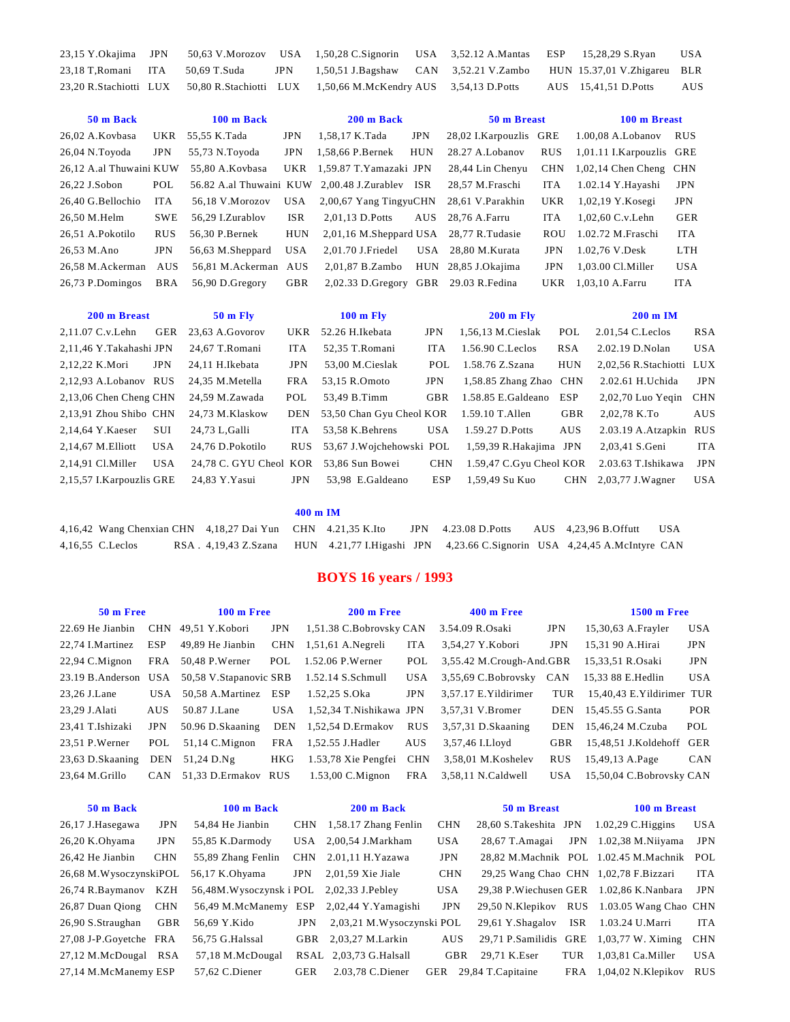|                                   |  | 23,15 Y.Okajima JPN 50,63 V.Morozov USA 1,50,28 C.Signorin USA 3,52.12 A.Mantas ESP 15,28,29 S.Ryan |  |                      | <b>USA</b> |
|-----------------------------------|--|-----------------------------------------------------------------------------------------------------|--|----------------------|------------|
| 23,18 T, Romani ITA 50,69 T. Suda |  | JPN 1,50,51 J.Bagshaw CAN 3,52.21 V.Zambo HUN 15.37,01 V.Zhigareu BLR                               |  |                      |            |
|                                   |  | 23.20 R.Stachiotti LUX 50.80 R.Stachiotti LUX 1,50.66 M.McKendry AUS 3.54.13 D.Potts                |  | AUS 15,41,51 D.Potts | AUS        |

| 50 m Back               |            | 100 m Back           |            | 200 m Back                                     |            | 50 m Breast            |            | 100 m Breast             |            |
|-------------------------|------------|----------------------|------------|------------------------------------------------|------------|------------------------|------------|--------------------------|------------|
| 26,02 A.Kovbasa         |            | UKR 55,55 K.Tada     | <b>JPN</b> | 1,58,17 K.Tada                                 | JPN        | 28,02 I.Karpouzlis GRE |            | $1.00,08$ A. Lobanov     | <b>RUS</b> |
| $26,04$ N.Toyoda        | <b>JPN</b> | 55,73 N.Toyoda       | <b>JPN</b> | 1.58.66 P.Bernek                               | <b>HUN</b> | 28.27 A.Lobanov        | <b>RUS</b> | 1,01.11 I.Karpouzlis GRE |            |
| 26,12 A.al Thuwaini KUW |            | 55,80 A.Kovbasa      |            | UKR 1,59.87 T.Yamazaki JPN                     |            | 28,44 Lin Chenyu       | <b>CHN</b> | $1,02,14$ Chen Cheng CHN |            |
| 26,22 J.Sobon           | POL        |                      |            | 56.82 A.al Thuwaini KUW 2,00.48 J.Zurablev ISR |            | 28,57 M.Fraschi        | ITA        | 1.02.14 Y.Hayashi        | <b>JPN</b> |
| 26.40 G.Bellochio       | ITA.       | 56.18 V.Morozov      | USA        | 2,00,67 Yang TingyuCHN                         |            | 28,61 V.Parakhin       | UKR        | $1,02,19$ Y.Kosegi       | <b>JPN</b> |
| 26,50 M.Helm            | <b>SWE</b> | 56.29 L.Zurablov     | <b>ISR</b> | 2.01.13 D.Potts                                |            | AUS 28.76 A.Farru      | ITA.       | 1,02,60 C.v.Lehn         | <b>GER</b> |
| 26.51 A.Pokotilo        | <b>RUS</b> | 56.30 P.Bernek       | <b>HUN</b> | 2,01,16 M.Sheppard USA 28,77 R.Tudasie         |            |                        | <b>ROU</b> | 1.02.72 M.Fraschi        | <b>ITA</b> |
| 26,53 M.Ano             | <b>JPN</b> | 56,63 M.Sheppard     | <b>USA</b> | 2,01.70 J.Friedel                              |            | USA 28.80 M.Kurata     | JPN        | 1.02,76 V.Desk           | <b>LTH</b> |
| 26.58 M.Ackerman        | <b>AUS</b> | 56,81 M.Ackerman AUS |            | 2,01,87 B.Zambo                                |            | HUN 28,85 J.Okajima    | <b>JPN</b> | 1,03.00 Cl.Miller        | <b>USA</b> |
| 26,73 P.Domingos        | BRA        | 56,90 D.Gregory      | GBR        | 2,02.33 D.Gregory GBR 29.03 R.Fedina           |            |                        | UKR        | 1,03,10 A.Farru          | ITA.       |
|                         |            |                      |            |                                                |            |                        |            |                          |            |

| 200 m Breast             |            | <b>50 m Flv</b>        |            | $100 \text{ m}$ Fly      |            | $200 \text{ m}$ Fly     |            | $200 \text{ m}$ IM       |            |
|--------------------------|------------|------------------------|------------|--------------------------|------------|-------------------------|------------|--------------------------|------------|
| 2,11.07 C.v.Lehn         | GER        | 23.63 A.Govorov        | UKR        | 52.26 H.Ikebata          | <b>JPN</b> | 1,56,13 M.Cieslak       | POL        | 2.01,54 C. Leclos        | <b>RSA</b> |
| 2,11,46 Y.Takahashi JPN  |            | 24.67 T.Romani         | ITA.       | 52,35 T.Romani           | ITA.       | 1.56.90 C. Leclos       | <b>RSA</b> | 2.02.19 D.Nolan          | <b>USA</b> |
| 2,12,22 K.Mori           | <b>JPN</b> | 24.11 H.Ikebata        | <b>JPN</b> | 53,00 M.Cieslak          | POL        | 1.58.76 Z.Szana         | <b>HUN</b> | 2,02,56 R.Stachiotti LUX |            |
| 2.12.93 A.Lobanov RUS    |            | 24.35 M.Metella        | FRA        | 53.15 R.Omoto            | <b>JPN</b> | 1,58.85 Zhang Zhao CHN  |            | 2.02.61 H.Uchida         | <b>JPN</b> |
| 2,13,06 Chen Cheng CHN   |            | 24.59 M.Zawada         | POL        | 53.49 B.Timm             | <b>GBR</b> | 1.58.85 E.Galdeano      | <b>ESP</b> | $2,02,70$ Luo Yegin      | <b>CHN</b> |
| 2.13.91 Zhou Shibo CHN   |            | 24.73 M.Klaskow        | DEN        | 53,50 Chan Gyu Cheol KOR |            | $1.59.10$ T. Allen      | <b>GBR</b> | 2,02,78 K.To             | AUS        |
| 2,14,64 Y.Kaeser         | <b>SUI</b> | 24.73 L.Galli          | ITA.       | 53,58 K.Behrens          | <b>USA</b> | 1.59.27 D.Potts         | AUS        | 2.03.19 A.Atzapkin RUS   |            |
| $2,14,67$ M. Elliott     | <b>USA</b> | 24.76 D.Pokotilo       | <b>RUS</b> | 53,67 J.Wojchehowski POL |            | 1,59,39 R.Hakajima JPN  |            | 2.03.41 S.Geni           | <b>ITA</b> |
| $2.14.91$ Cl. Miller     | <b>USA</b> | 24,78 C. GYU Cheol KOR |            | 53.86 Sun Bowei          | <b>CHN</b> | 1.59,47 C.Gyu Cheol KOR |            | 2.03.63 T.Ishikawa       | <b>JPN</b> |
| 2,15,57 I.Karpouzlis GRE |            | 24.83 Y.Yasui          | JPN        | 53,98 E.Galdeano         | <b>ESP</b> | 1,59,49 Su Kuo          | <b>CHN</b> | 2,03,77 J.Wagner         | USA        |

4,16,42 Wang Chenxian CHN 4,18,27 Dai Yun CHN 4.21,35 K.Ito JPN 4.23.08 D.Potts AUS 4,23,96 B.Offutt USA 4,16,55 C.Leclos RSA . 4,19,43 Z.Szana HUN 4.21,77 I.Higashi JPN 4,23.66 C.Signorin USA 4,24,45 A.McIntyre CAN

## **BOYS 16 years / 1993**

| 50 m Free            |            | $100 \text{ m}$ Free    |            | 200 m Free              |            | $400$ m Free             |            | <b>1500 m Free</b>        |            |
|----------------------|------------|-------------------------|------------|-------------------------|------------|--------------------------|------------|---------------------------|------------|
| 22.69 He Jianbin     |            | CHN 49.51 Y.Kobori      | <b>JPN</b> | 1,51.38 C.Bobrovsky CAN |            | 3.54.09 R.Osaki          | <b>JPN</b> | 15,30,63 A.Frayler        | <b>USA</b> |
| 22,74 I.Martinez     | ESP        | 49,89 He Jianbin        | <b>CHN</b> | $1,51,61$ A.Negreli     | <b>ITA</b> | 3,54,27 Y.Kobori         | <b>JPN</b> | 15.31 90 A.Hirai          | JPN        |
| $22.94$ C.Mignon     | FRA        | 50,48 P.Werner          | POL        | 1.52.06 P.Werner        | POL        | 3,55.42 M.Crough-And.GBR |            | 15,33,51 R.Osaki          | <b>JPN</b> |
| 23.19 B.Anderson USA |            | 50,58 V. Stapanovic SRB |            | 1.52.14 S.Schmull       | USA        | 3,55,69 C.Bobrovsky      | CAN        | 15,33 88 E.Hedlin         | <b>USA</b> |
| 23,26 J.Lane         | USA.       | 50,58 A.Martinez ESP    |            | 1.52.25 S.Oka           | <b>JPN</b> | 3,57.17 E. Yildirimer    | TUR        | 15,40,43 E.Yildirimer TUR |            |
| 23,29 J.Alati        | <b>AUS</b> | 50.87 J.Lane            | <b>USA</b> | 1,52,34 T.Nishikawa JPN |            | 3.57.31 V.Bromer         | DEN        | 15,45.55 G.Santa          | <b>POR</b> |
| 23,41 T.Ishizaki     | <b>JPN</b> | 50.96 D.Skaaning        | <b>DEN</b> | 1,52,54 D.Ermakov       | <b>RUS</b> | $3,57,31$ D.Skaaning     | <b>DEN</b> | 15,46,24 M.Czuba          | POL        |
| 23,51 P.Werner       | POL        | $51,14$ C.Mignon        | FRA        | 1,52.55 J.Hadler        | <b>AUS</b> | 3,57,46 I.Lloyd          | <b>GBR</b> | 15,48,51 J.Koldehoff GER  |            |
| 23,63 D.Skaaning     | DEN        | 51.24 D.Ng              | HKG        | 1.53,78 Xie Pengfei     | <b>CHN</b> | 3.58.01 M.Koshelev       | <b>RUS</b> | 15,49,13 A.Page           | <b>CAN</b> |
| $23.64$ M.Grillo     | <b>CAN</b> | 51,33 D.Ermakov RUS     |            | $1.53,00$ C. Mignon     | FRA        | 3,58,11 N.Caldwell       | <b>USA</b> | 15,50,04 C.Bobrovsky CAN  |            |
|                      |            |                         |            |                         |            |                          |            |                           |            |

| 50 m Back                               |            | 100 m Back                                |            | 200 m Back                               |            | 50 m Breast                                 |     | 100 m Breast                               |            |
|-----------------------------------------|------------|-------------------------------------------|------------|------------------------------------------|------------|---------------------------------------------|-----|--------------------------------------------|------------|
| 26,17 J.Hasegawa                        | <b>JPN</b> | 54,84 He Jianbin                          | <b>CHN</b> | 1,58.17 Zhang Fenlin                     | <b>CHN</b> | $28,60$ S.Takeshita JPN $1.02,29$ C.Higgins |     |                                            | <b>USA</b> |
| $26,20$ K.Ohyama                        | <b>JPN</b> | 55,85 K.Darmody                           |            | USA 2,00,54 J.Markham                    | <b>USA</b> | 28,67 T.Amagai                              | JPN | 1.02,38 M.Niiyama                          | JPN        |
| 26.42 He Jianbin                        | <b>CHN</b> | 55,89 Zhang Fenlin                        |            | $CHN$ 2.01,11 H.Yazawa                   | <b>JPN</b> |                                             |     | 28,82 M.Machnik POL 1.02.45 M.Machnik POL  |            |
| 26.68 M. WysoczynskiPOL 56.17 K. Ohyama |            |                                           | <b>JPN</b> | $2,01,59$ Xie Jiale                      | <b>CHN</b> |                                             |     | 29,25 Wang Chao CHN 1,02,78 F.Bizzari      | <b>ITA</b> |
| 26,74 R.Baymanov KZH                    |            | 56,48M. Wysoczynski POL 2,02,33 J. Pebley |            |                                          | <b>USA</b> |                                             |     | 29.38 P. Wiechusen GER 1.02.86 K. Nanbara  | <b>JPN</b> |
| 26,87 Duan Oiong                        | <b>CHN</b> |                                           |            | 56,49 M.McManemy ESP 2,02,44 Y.Yamagishi | <b>JPN</b> |                                             |     | 29,50 N.Klepikov RUS 1.03.05 Wang Chao CHN |            |
| 26.90 S.Straughan                       | GBR        | 56.69 Y.Kido                              | <b>JPN</b> | 2,03,21 M.Wysoczynski POL                |            | 29,61 Y.Shagalov                            | ISR | 1.03.24 U.Marri                            | ITA        |
| 27,08 J-P.Goyetche FRA                  |            | 56,75 G.Halssal                           | GBR        | 2,03,27 M.Larkin                         | <b>AUS</b> | 29,71 P.Samilidis GRE                       |     | $1,03,77$ W. Ximing                        | <b>CHN</b> |
| 27,12 M.McDougal RSA                    |            | 57,18 M.McDougal                          |            | RSAL 2,03,73 G.Halsall                   | GBR        | 29.71 K.Eser                                | TUR | $1,03,81$ Ca.Miller                        | <b>USA</b> |
| 27,14 M.McManemy ESP                    |            | $57.62$ C.Diener                          | <b>GER</b> | 2.03.78 C.Diener                         | GER        | 29.84 T.Capitaine                           | FRA | $1,04,02$ N.Klepikov RUS                   |            |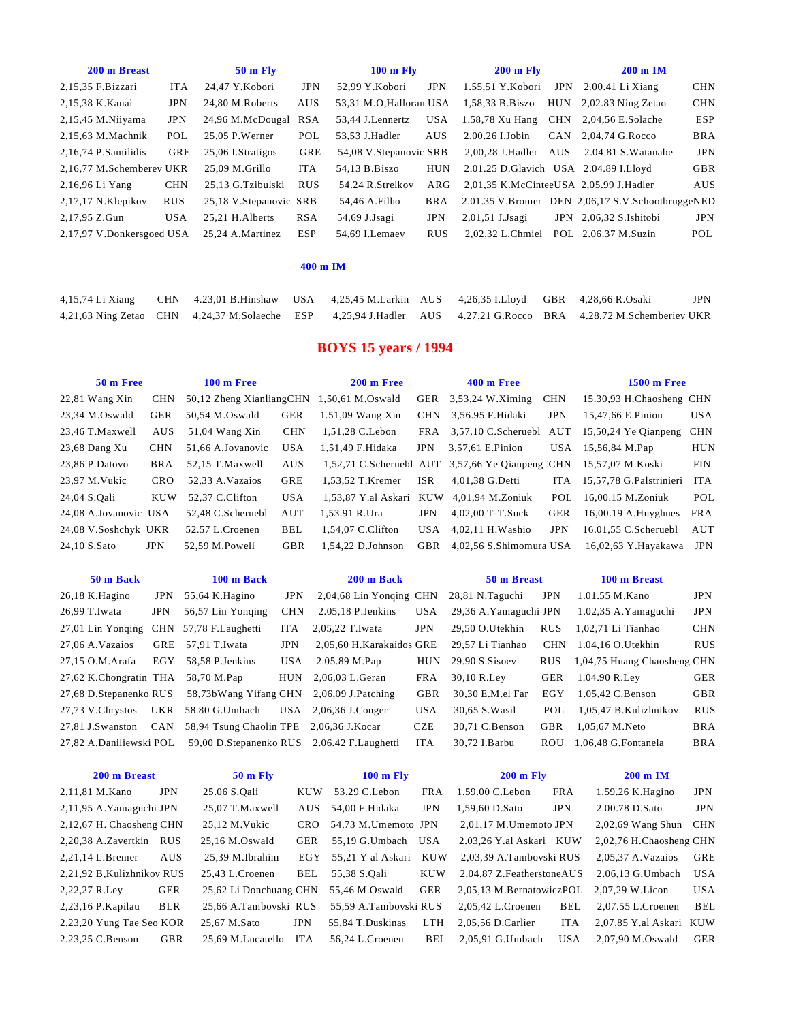| 200 m Breast              |            | $50$ m Fly             |            | $100 \text{ m}$ Fly     |            | $200 \text{ m}$ Fly                    |     | $200 \text{ m}$ IM                               |            |
|---------------------------|------------|------------------------|------------|-------------------------|------------|----------------------------------------|-----|--------------------------------------------------|------------|
| 2,15,35 F.Bizzari         | <b>ITA</b> | 24.47 Y.Kobori         | <b>JPN</b> | 52.99 Y.Kobori          | <b>JPN</b> | 1.55.51 Y.Kobori                       |     | JPN $2.00.41$ Li Xiang                           | <b>CHN</b> |
| 2,15,38 K.Kanai           | <b>JPN</b> | 24.80 M.Roberts        | AUS        | 53.31 M.O.Halloran USA  |            | 1,58,33 B.Biszo                        |     | $HUN$ 2.02.83 Ning Zetao                         | <b>CHN</b> |
| 2,15,45 M.Niiyama         | <b>JPN</b> | 24,96 M.McDougal       | <b>RSA</b> | 53,44 J.Lennertz        | USA        | 1.58,78 Xu Hang CHN 2,04,56 E.Solache  |     |                                                  | <b>ESP</b> |
| $2.15.63$ M.Machnik       | POL        | $25.05$ P.Werner       | POL        | 53.53 J.Hadler          | AUS        | $2.00.26$ I.Jobin                      |     | CAN $2.04.74$ G.Rocco                            | <b>BRA</b> |
| $2,16,74$ P.Samilidis     | <b>GRE</b> | 25,06 I.Stratigos      | GRE        | 54,08 V. Stepanovic SRB |            | 2,00,28 J.Hadler                       | AUS | 2.04.81 S.Watanabe                               | <b>JPN</b> |
| 2.16.77 M.Schemberev UKR  |            | 25.09 M.Grillo         | <b>ITA</b> | 54.13 B.Biszo           | <b>HUN</b> | 2.01.25 D.Glavich USA 2.04.89 I.Lloyd  |     |                                                  | <b>GBR</b> |
| 2,16,96 Li Yang           | <b>CHN</b> | 25.13 G.Tzibulski      | <b>RUS</b> | 54.24 R.Strelkov        | ARG        | 2.01.35 K.McCinteeUSA 2.05.99 J.Hadler |     |                                                  | AUS        |
| $2,17,17$ N.Klepikov      | <b>RUS</b> | 25,18 V.Stepanovic SRB |            | 54,46 A.Filho           | <b>BRA</b> |                                        |     | 2.01.35 V.Bromer DEN 2,06,17 S.V.SchootbruggeNED |            |
| 2,17,95 Z.Gun             | <b>USA</b> | 25.21 H.Alberts        | <b>RSA</b> | 54,69 J.Jsagi           | JPN        | 2,01,51 J.Jsagi                        |     | JPN 2,06,32 S.Ishitobi                           | <b>JPN</b> |
| 2.17.97 V.Donkersgoed USA |            | 25.24 A.Martinez       | <b>ESP</b> | 54.69 I.Lemaev          | <b>RUS</b> | 2.02.32 L.Chmiel                       |     | POL 2.06.37 M.Suzin                              | POL        |

|  | 4,15,74 Li Xiang CHN 4.23,01 B.Hinshaw USA 4,25,45 M.Larkin AUS 4,26,35 I.Lloyd GBR 4,28,66 R.Osaki |  |  |                                                                                                                  | <b>JPN</b> |
|--|-----------------------------------------------------------------------------------------------------|--|--|------------------------------------------------------------------------------------------------------------------|------------|
|  |                                                                                                     |  |  | 4,21,63 Ning Zetao CHN 4,24,37 M,Solaeche ESP 4,25,94 J.Hadler AUS 4.27,21 G.Rocco BRA 4.28.72 M.Schemberiev UKR |            |

## **BOYS 15 years / 1994**

| 50 m Free             |            | $100 \text{ m}$ Free                      |            | 200 m Free                               |            | $400 \text{ m}$ Free                            |            | <b>1500 m Free</b>                               |            |
|-----------------------|------------|-------------------------------------------|------------|------------------------------------------|------------|-------------------------------------------------|------------|--------------------------------------------------|------------|
| 22,81 Wang Xin        | CHN        | 50,12 Zheng XianliangCHN 1,50,61 M.Oswald |            |                                          |            | GER 3,53,24 W.Ximing                            | <b>CHN</b> | 15.30,93 H.Chaosheng CHN                         |            |
| 23,34 M.Oswald        | GER        | 50,54 M.Oswald                            | GER        | $1.51,09$ Wang Xin                       |            | CHN 3,56.95 F.Hidaki                            | <b>JPN</b> | 15,47,66 E.Pinion                                | <b>USA</b> |
| 23.46 T.Maxwell       | AUS.       | $51,04$ Wang Xin                          | <b>CHN</b> | 1.51.28 C.Lebon                          |            |                                                 |            | FRA 3.57.10 C.Scheruebl AUT 15.50.24 Ye Oianpeng | CHN        |
| 23,68 Dang Xu         | <b>CHN</b> | 51.66 A.Jovanovic                         | <b>USA</b> | 1.51.49 F.Hidaka                         | <b>JPN</b> | 3.57.61 E.Pinion                                |            | USA 15,56,84 M.Pap                               | <b>HUN</b> |
| 23,86 P.Datovo        | BRA        | 52,15 T.Maxwell                           | <b>AUS</b> |                                          |            | 1,52,71 C.Scheruebl AUT 3,57,66 Ye Qianpeng CHN |            | 15,57,07 M.Koski                                 | <b>FIN</b> |
| 23.97 M.Vukic         | <b>CRO</b> | 52.33 A.Vazaios                           | GRE        | 1.53.52 T.Kremer                         | ISR        | 4.01.38 G.Detti                                 | ITA        | 15,57,78 G.Palstrinieri                          | ITA        |
| 24,04 S.Oali          | <b>KUW</b> | 52.37 C.Clifton                           | <b>USA</b> | 1.53.87 Y.al Askari KUW 4.01.94 M.Zoniuk |            |                                                 |            | POL 16,00.15 M.Zoniuk                            | POL        |
| 24.08 A.Jovanovic USA |            | 52.48 C.Scheruebl                         | AUT        | 1.53.91 R.Ura                            | <b>JPN</b> | $4,02,00$ T-T.Suck                              | GER        | $16,00.19$ A.Huyghues                            | <b>FRA</b> |
| 24,08 V.Soshchyk UKR  |            | 52.57 L.Croenen                           | BEL        | $1.54.07$ C.Clifton                      | USA        | 4.02.11 H. Washio                               | <b>JPN</b> | 16.01.55 C.Scheruebl                             | AUT        |
| 24.10 S.Sato          | <b>JPN</b> | 52.59 M.Powell                            | <b>GBR</b> | $1.54.22$ D.Johnson                      | GBR        | 4.02.56 S.Shimomura USA                         |            | 16.02.63 Y.Havakawa                              | JPN        |
|                       |            |                                           |            |                                          |            |                                                 |            |                                                  |            |

|    | эн ш наск |  |  |
|----|-----------|--|--|
| т. |           |  |  |

26,99 T.Iwata JPN 56,57 Lin Yonqing CHN 27,01 Lin Yonqing CHN 57,78 F.Laughetti ITA 27,06 A.Vazaios GRE 57,91 T.Iwata JPN 27,15 O.M.Arafa EGY 58,58 P.Jenkins USA 27,62 K.Chongratin THA 58,70 M.Pap HUN 27,68 D.Stepanenko RUS 58,73bWang Yifang CHN 27,73 V.Chrystos UKR 58.80 G.Umbach USA 27,81 J.Swanston CAN 58,94 Tsung Chaolin TPE 27,82 A.Daniliewski POL 59,00 D.Stepanenko RUS

**50 m Back 100 m Back 200 m Back 50 m Breast 100 m Breast** 26,18 K.Hagino JPN 55,64 K.Hagino JPN 2,04,68 Lin Yonqing CHN 28

| $2,04,68$ Lin Yonging CHN |            | 28.81 N. Taguchi      | JPN        |
|---------------------------|------------|-----------------------|------------|
| 2.05,18 P.Jenkins         | <b>USA</b> | 29,36 A.Yamaguchi JPN |            |
| 2,05,22 T.Iwata           | JPN        | 29,50 O.Utekhin       | <b>RUS</b> |
| 2,05,60 H.Karakaidos GRE  |            | 29,57 Li Tianhao      | <b>CHN</b> |
| 2.05.89 M.Pap             | HUN        | 29.90 S.Sisoev        | <b>RUS</b> |
| 2,06,03 L.Geran           | FR A       | 30,10 R.Lev           | <b>GER</b> |
| 2,06,09 J.Patching        | <b>GBR</b> | 30,30 E.M.el Far      | EGY        |
| 2,06,36 J.Conger          | <b>USA</b> | 30,65 S. Wasil        | POL        |
| 2,06,36 J.Kocar           | CZE        | 30,71 C.Benson        | GBR        |
| 2.06.42 F.Laughetti       | <b>ITA</b> | 30.72 I.Barbu         | <b>ROU</b> |
|                           |            |                       |            |

| 3,81 N.Taguchi       | <b>JPN</b> | 1.01.55 M.Kano              | <b>JPN</b> |
|----------------------|------------|-----------------------------|------------|
| 9,36 A.Yamaguchi JPN |            | 1.02,35 A.Yamaguchi         | <b>JPN</b> |
| 9.50 O.Utekhin       | <b>RUS</b> | 1,02,71 Li Tianhao          | <b>CHN</b> |
| 9,57 Li Tianhao      | <b>CHN</b> | 1.04,16 O.Utekhin           | <b>RUS</b> |
| 9.90 S.Sisoev        | <b>RUS</b> | 1,04,75 Huang Chaosheng CHN |            |
| $0,10$ R.Ley         | <b>GER</b> | 1.04.90 R.Ley               | <b>GER</b> |
| 60,30 E.M.el Far     | EGY        | 1.05,42 C.Benson            | <b>GBR</b> |
| 30.65 S.Wasil        | POL        | 1,05,47 B.Kulizhnikov       | <b>RUS</b> |
| 30,71 C.Benson       | GBR        | 1,05,67 M.Neto              | <b>BRA</b> |
| 30,72 I.Barbu        | <b>ROU</b> | 1,06,48 G.Fontanela         | <b>BRA</b> |
|                      |            |                             |            |

| 200 m Breast              |            | $50 \text{ m}$ Fly     |            | $100 \text{ m}$ Fly       |            | $200 \text{ m}$ Fly                      |            | $200 \text{ m}$ IM      |            |
|---------------------------|------------|------------------------|------------|---------------------------|------------|------------------------------------------|------------|-------------------------|------------|
| 2,11,81 M.Kano            | <b>JPN</b> | 25.06 S.Oali           | <b>KUW</b> | 53.29 C.Lebon             | <b>FRA</b> | 1.59.00 C.Lebon                          | <b>FRA</b> | 1.59.26 K.Hagino        | <b>JPN</b> |
| 2,11,95 A.Yamaguchi JPN   |            | 25,07 T.Maxwell        | AUS        | 54,00 F.Hidaka            | <b>JPN</b> | 1,59,60 D.Sato                           | JPN        | 2.00.78 D.Sato          | <b>JPN</b> |
| 2,12,67 H. Chaosheng CHN  |            | 25.12 M.Vukic          | <b>CRO</b> | 54.73 M.Umemoto JPN       |            | 2,01,17 M.Umemoto JPN                    |            | $2,02,69$ Wang Shun CHN |            |
| 2,20,38 A.Zavertkin RUS   |            | 25,16 M.Oswald         | GER        | 55,19 G.Umbach USA        |            | 2.03,26 Y.al Askari KUW                  |            | 2,02,76 H.Chaosheng CHN |            |
| 2,21,14 L.Bremer          | <b>AUS</b> | 25,39 M.Ibrahim        |            | EGY 55.21 Y al Askari KUW |            | 2,03,39 A.Tambovski RUS                  |            | $2,05,37$ A.Vazaios     | GRE        |
| 2,21,92 B,Kulizhnikov RUS |            | 25.43 L.Croenen        | BEL        | 55,38 S.Oali              | KUW        | 2.04.87 Z.FeatherstoneAUS                |            | 2.06.13 G.Umbach        | USA        |
| 2,22,27 R.Ley             | GER        | 25,62 Li Donchuang CHN |            | 55,46 M.Oswald            | GER        | 2,05,13 M.BernatowiczPOL 2,07,29 W.Licon |            |                         | <b>USA</b> |
| 2,23,16 P.Kapilau         | BLR        | 25.66 A.Tambovski RUS  |            | 55,59 A.Tambovski RUS     |            | $2,05,42$ L.Croenen                      | BEL        | 2,07.55 L.Croenen       | BEL        |
| 2.23,20 Yung Tae Seo KOR  |            | 25.67 M.Sato           | <b>JPN</b> | 55.84 T.Duskinas          | <b>LTH</b> | 2.05.56 D.Carlier                        | <b>ITA</b> | 2,07,85 Y.al Askari KUW |            |
| 2.23,25 C.Benson          | <b>GBR</b> | 25.69 M.Lucatello ITA  |            | 56.24 L.Croenen           | BEL        | 2.05.91 G.Umbach                         | USA.       | 2.07.90 M.Oswald        | GER        |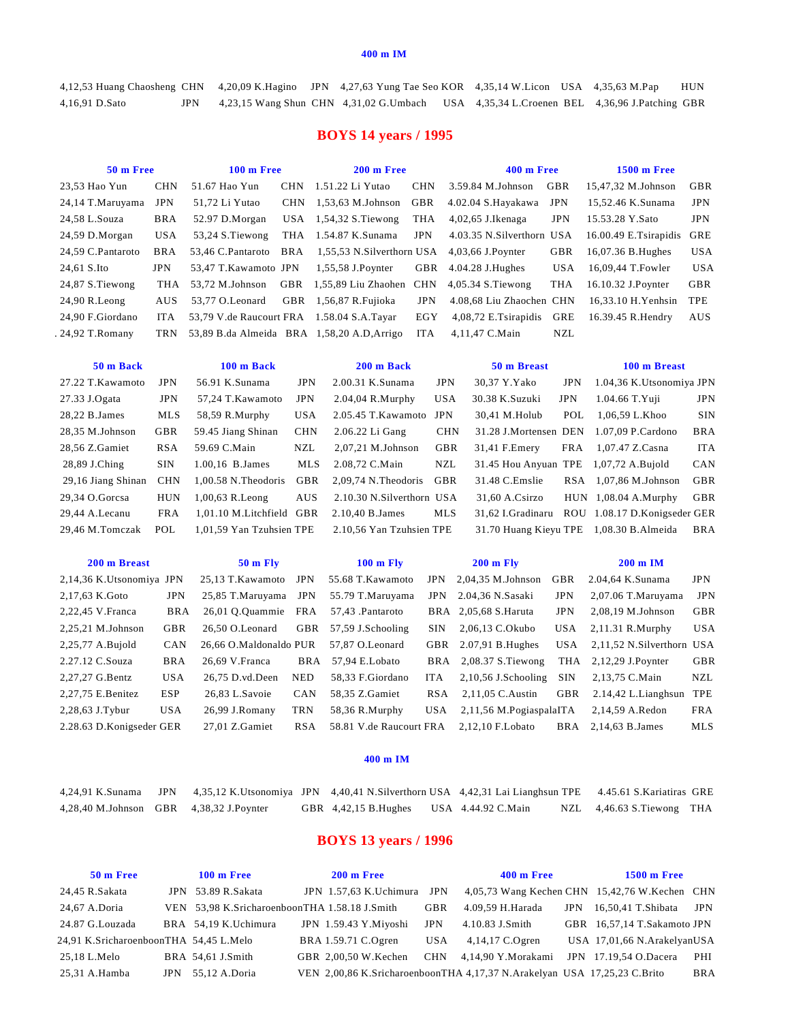4,12,53 Huang Chaosheng CHN 4,20,09 K.Hagino JPN 4,27,63 Yung Tae Seo KOR 4,35,14 W.Licon USA 4,35,63 M.Pap HUN 4,16,91 D.Sato JPN 4,23,15 Wang Shun CHN 4,31,02 G.Umbach USA 4,35,34 L.Croenen BEL 4,36,96 J.Patching GBR

## **BOYS 14 years / 1995**

| 50 m Free         |            | $100 \text{ m}$ Free                      |            | 200 m Free                                                        |            | 400 m Free                |            | <b>1500 m Free</b>        |            |
|-------------------|------------|-------------------------------------------|------------|-------------------------------------------------------------------|------------|---------------------------|------------|---------------------------|------------|
| 23.53 Hao Yun     | <b>CHN</b> | 51.67 Hao Yun                             | <b>CHN</b> | 1.51.22 Li Yutao                                                  | <b>CHN</b> | 3.59.84 M.Johnson         | GBR        | 15.47.32 M.Johnson        | GBR        |
| 24,14 T.Maruyama  | <b>JPN</b> | 51.72 Li Yutao                            |            | $CHN$ 1.53.63 M. Johnson                                          | GBR        | 4.02.04 S.Havakawa        | <b>JPN</b> | 15.52.46 K.Sunama         | <b>JPN</b> |
| 24,58 L.Souza     | BRA        | 52.97 D.Morgan                            |            | USA $1,54,32$ S. Tiewong                                          | THA        | $4,02,65$ J.Ikenaga       | <b>JPN</b> | 15.53.28 Y.Sato           | <b>JPN</b> |
| 24,59 D.Morgan    | USA.       | 53,24 S. Tiewong                          |            | THA 1.54.87 K.Sunama                                              | JPN        | 4.03.35 N.Silverthorn USA |            | 16.00.49 E.Tsirapidis GRE |            |
| 24.59 C.Pantaroto | <b>BRA</b> |                                           |            | 53,46 C.Pantaroto BRA 1,55,53 N.Silverthorn USA 4,03,66 J.Poynter |            |                           | GBR        | 16,07.36 B.Hughes         | <b>USA</b> |
| 24,61 S.Ito       | <b>JPN</b> | 53,47 T.Kawamoto JPN                      |            | 1,55,58 J.Poynter                                                 |            | GBR $4.04.28$ J.Hughes    | USA.       | 16,09,44 T.Fowler         | <b>USA</b> |
| 24,87 S. Tiewong  | THA        |                                           |            | 53,72 M.Johnson GBR 1,55,89 Liu Zhaohen CHN 4,05.34 S.Tiewong     |            |                           | THA        | 16.10.32 J.Poynter        | GBR        |
| $24.90$ R. Leong  | AUS.       | 53.77 O.Leonard                           |            | GBR 1,56,87 R.Fujioka                                             | <b>JPN</b> | 4.08,68 Liu Zhaochen CHN  |            | 16.33.10 H. Yenhsin       | TPE        |
| 24.90 F.Giordano  | ITA        | 53,79 V.de Raucourt FRA 1.58.04 S.A.Tayar |            |                                                                   | EGY        | 4,08,72 E.Tsirapidis GRE  |            | 16.39.45 R.Hendry         | AUS        |
| . 24,92 T.Romany  |            |                                           |            | TRN 53,89 B.da Almeida BRA 1,58,20 A.D. Arrigo                    | ITA        | 4.11.47 C.Main            | NZL        |                           |            |

| 50 m Back          |            | 100 m Back               |            | 200 m Back                |            | 50 m Breast                           |            | 100 m Breast                            |            |
|--------------------|------------|--------------------------|------------|---------------------------|------------|---------------------------------------|------------|-----------------------------------------|------------|
| 27.22 T.Kawamoto   | <b>JPN</b> | 56.91 K.Sunama           | <b>JPN</b> | 2.00.31 K.Sunama          | <b>JPN</b> | 30,37 Y.Yako                          | <b>JPN</b> | 1.04,36 K.Utsonomiya JPN                |            |
| 27.33 J.Ogata      | <b>JPN</b> | 57,24 T.Kawamoto         | <b>JPN</b> | $2.04,04$ R.Murphy        | <b>USA</b> | 30.38 K.Suzuki                        | <b>JPN</b> | $1.04.66$ T.Yuji                        | <b>JPN</b> |
| 28.22 B.James      | MLS        | 58,59 R.Murphy           | <b>USA</b> | 2.05.45 T.Kawamoto        | JPN        | 30,41 M.Holub                         | POL        | 1,06,59 L.Khoo                          | <b>SIN</b> |
| 28,35 M.Johnson    | GBR        | 59.45 Jiang Shinan       | <b>CHN</b> | 2.06.22 Li Gang           | <b>CHN</b> |                                       |            | 31.28 J.Mortensen DEN 1.07.09 P.Cardono | <b>BRA</b> |
| 28,56 Z.Gamiet     | <b>RSA</b> | 59.69 C.Main             | NZL        | $2,07,21$ M.Johnson       | GBR        | 31,41 F.Emery                         | FRA        | 1,07.47 Z.Casna                         | <b>ITA</b> |
| 28,89 J.Ching      | <b>SIN</b> | 1.00,16 B.James          | MLS        | 2.08,72 C.Main            | NZL        | 31.45 Hou Anyuan TPE 1,07,72 A.Bujold |            |                                         | CAN        |
| 29,16 Jiang Shinan | <b>CHN</b> | $1.00.58$ N.Theodoris    | <b>GBR</b> | $2.09.74$ N.Theodoris     | GBR        | 31.48 C.Emslie                        |            | RSA 1,07,86 M.Johnson                   | <b>GBR</b> |
| 29,34 O.Gorcsa     | <b>HUN</b> | $1,00,63$ R. Leong       | <b>AUS</b> | 2.10.30 N.Silverthorn USA |            | 31,60 A.Csirzo                        |            | $HUN$ 1,08.04 A.Murphy                  | <b>GBR</b> |
| 29.44 A.Lecanu     | <b>FRA</b> | 1,01.10 M.Litchfield GBR |            | 2.10.40 B.James           | MLS        | 31,62 I.Gradinaru                     |            | ROU 1.08.17 D.Konigseder GER            |            |
| 29.46 M.Tomczak    | POL        | 1.01.59 Yan Tzuhsien TPE |            | 2.10.56 Yan Tzuhsien TPE  |            |                                       |            | 31.70 Huang Kieyu TPE 1,08.30 B.Almeida | <b>BRA</b> |
|                    |            |                          |            |                           |            |                                       |            |                                         |            |
|                    |            |                          |            |                           |            |                                       |            |                                         |            |

| 200 m Breast             |            | $50 \text{ m}$ Fly     |            | $100 \text{ m}$ Fly     |      | $200 \text{ m}$ Fly              |            | $200 \text{ m}$ IM        |            |
|--------------------------|------------|------------------------|------------|-------------------------|------|----------------------------------|------------|---------------------------|------------|
| 2,14,36 K.Utsonomiya JPN |            | 25.13 T.Kawamoto       | <b>JPN</b> | 55.68 T.Kawamoto        |      | $JPN$ 2.04.35 M.Johnson          | <b>GBR</b> | 2.04,64 K.Sunama          | <b>JPN</b> |
| 2,17,63 K.Goto           | <b>JPN</b> | 25,85 T.Maruyama       | JPN        | 55.79 T.Maruyama        | JPN  | 2.04,36 N.Sasaki                 | <b>JPN</b> | $2,07.06$ T.Maruyama      | <b>JPN</b> |
| 2,22,45 V.Franca         | <b>BRA</b> | 26,01 O.Quammie FRA    |            | 57.43 Pantaroto         |      | BRA 2,05,68 S. Haruta            | <b>JPN</b> | $2,08,19$ M.Johnson       | <b>GBR</b> |
| 2,25,21 M.Johnson        | <b>GBR</b> | 26.50 O.Leonard        |            | GBR 57.59 J.Schooling   | SIN. | 2,06,13 C.Okubo                  | USA        | $2,11.31$ R.Murphy        | <b>USA</b> |
| 2,25,77 A.Bujold         | <b>CAN</b> | 26.66 O.Maldonaldo PUR |            | 57.87 O.Leonard         |      | GBR $2.07,91$ B. Hughes          | USA –      | 2,11,52 N.Silverthorn USA |            |
| 2.27.12 C.Souza          | BRA        | 26.69 V.Franca         |            | BRA 57,94 E.Lobato      |      | BRA $2,08.37$ S. Tiewong         |            | THA $2,12,29$ J.Poynter   | <b>GBR</b> |
| 2,27,27 G.Bentz          | <b>USA</b> | 26.75 D.vd.Deen        | <b>NED</b> | 58.33 F.Giordano        | ITA  | $2,10,56$ J.Schooling            | <b>SIN</b> | 2,13,75 C.Main            | NZL        |
| 2,27,75 E.Benitez        | <b>ESP</b> | 26,83 L.Savoie         | <b>CAN</b> | 58,35 Z.Gamiet          |      | $RSA$ 2,11,05 C. Austin          | GBR        | 2.14.42 L.Lianghsun       | TPE        |
| 2,28,63 J.Tybur          | USA        | 26,99 J.Romany         | <b>TRN</b> | 58,36 R.Murphy          |      | $USA = 2,11,56$ M. PogiaspalaITA |            | 2,14,59 A.Redon           | FRA        |
| 2.28.63 D.Konigseder GER |            | 27.01 Z.Gamiet         | <b>RSA</b> | 58.81 V.de Raucourt FRA |      | 2.12.10 F. Lobato                |            | BRA 2.14.63 B. James      | MLS        |

### **400 m IM**

|  | 4,24,91 K.Sunama JPN 4,35,12 K.Utsonomiya JPN 4,40,41 N.Silverthorn USA 4,42,31 Lai Lianghsun TPE 4.45.61 S.Kariatiras GRE |  |  |  |  |
|--|----------------------------------------------------------------------------------------------------------------------------|--|--|--|--|
|  | 4,28,40 M.Johnson GBR 4,38,32 J.Poynter GBR 4,42,15 B.Hughes USA 4.44.92 C.Main NZL 4,46.63 S.Tiewong THA                  |  |  |  |  |

## **BOYS 13 years / 1996**

| 50 m Free                              | 100 m Free                                    | 200 m Free                 |            | 400 m Free                                                               | $1500 \text{ m}$ Free       |            |
|----------------------------------------|-----------------------------------------------|----------------------------|------------|--------------------------------------------------------------------------|-----------------------------|------------|
| 24,45 R.Sakata                         | JPN 53.89 R.Sakata                            | JPN 1.57,63 K.Uchimura JPN |            | 4,05,73 Wang Kechen CHN 15,42,76 W.Kechen CHN                            |                             |            |
| 24.67 A.Doria                          | VEN 53.98 K.SricharoenboonTHA 1.58.18 J.Smith |                            | <b>GBR</b> | 4.09.59 H.Harada                                                         | $JPN$ 16.50.41 T. Shibata   | JPN        |
| 24.87 G.Louzada                        | BRA 54.19 K.Uchimura                          | JPN 1.59.43 Y.Miyoshi      | <b>JPN</b> | 4.10.83 J.Smith                                                          | GBR 16,57,14 T.Sakamoto JPN |            |
| 24.91 K.SricharoenboonTHA 54,45 L.Melo |                                               | BRA 1.59.71 C.Ogren        | <b>USA</b> | $4,14,17$ C.Ogren                                                        | USA 17,01,66 N.ArakelyanUSA |            |
| 25.18 L.Melo                           | BRA 54.61 J.Smith                             | GBR 2.00.50 W.Kechen       |            | CHN 4,14,90 Y.Morakami                                                   | JPN 17.19.54 O.Dacera       | PHI        |
| 25.31 A.Hamba                          | JPN $55,12$ A.Doria                           |                            |            | VEN 2,00,86 K.SricharoenboonTHA 4,17,37 N.Arakelyan USA 17,25,23 C.Brito |                             | <b>BRA</b> |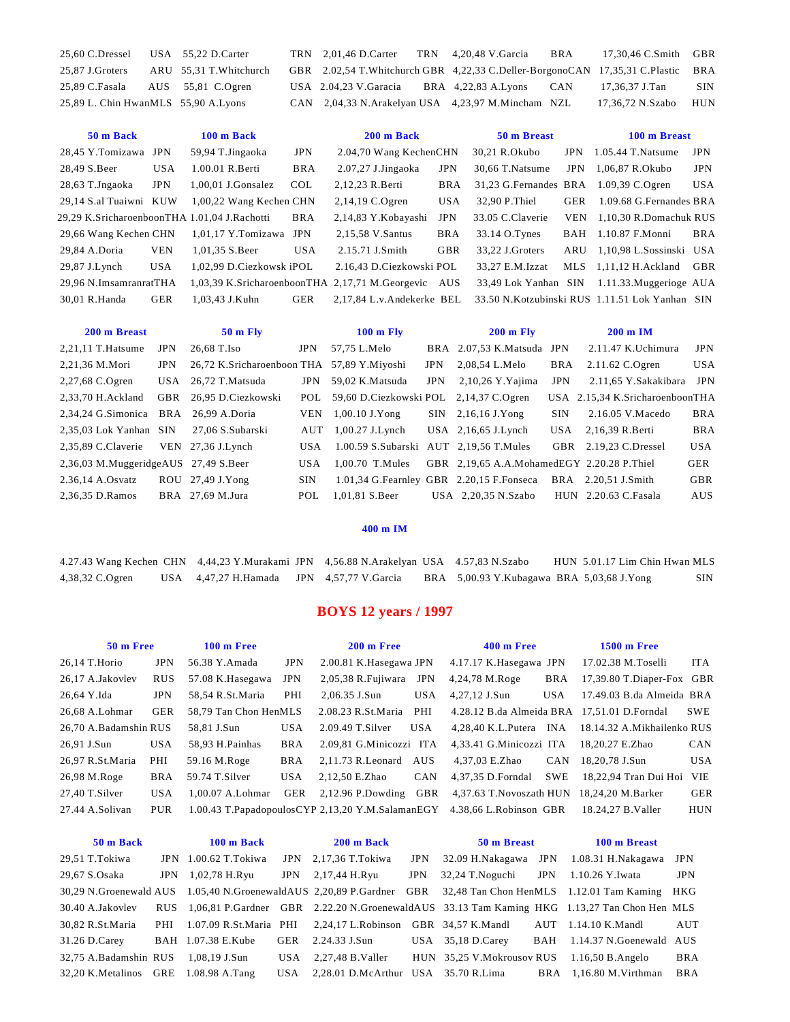| 25,60 C.Dressel USA 55,22 D.Carter  |                        |  | TRN 2,01,46 D.Carter TRN 4,20,48 V.Garcia BRA                                      | 17,30,46 C.Smith GBR |     |
|-------------------------------------|------------------------|--|------------------------------------------------------------------------------------|----------------------|-----|
| 25,87 J.Groters                     | ARU 55,31 T.Whitchurch |  | GBR 2.02,54 T. Whitchurch GBR 4,22,33 C. Deller-BorgonoCAN 17,35,31 C. Plastic BRA |                      |     |
| 25,89 C.Fasala AUS 55,81 C.Ogren    |                        |  | USA 2.04,23 V. Garacia BRA 4,22,83 A. Lyons CAN                                    | 17,36,37 J.Tan       | SIN |
| 25,89 L. Chin HwanMLS 55,90 A.Lyons |                        |  | CAN 2,04,33 N.Arakelyan USA 4,23,97 M.Mincham NZL                                  | 17,36,72 N.Szabo HUN |     |

| 50 m Back                                    |            | 100 m Back               |            | 200 m Back                                          |            | 50 m Breast           |            | 100 m Breast                                   |            |
|----------------------------------------------|------------|--------------------------|------------|-----------------------------------------------------|------------|-----------------------|------------|------------------------------------------------|------------|
| 28.45 Y.Tomizawa JPN                         |            | 59,94 T.Jingaoka         | <b>JPN</b> | 2.04,70 Wang KechenCHN                              |            | 30.21 R.Okubo         | JPN        | $1.05.44$ T.Natsume                            | <b>JPN</b> |
| 28,49 S.Beer                                 | <b>USA</b> | 1.00.01 R.Berti          | BRA        | $2.07,27$ J.Jingaoka                                | <b>JPN</b> | 30.66 T.Natsume       | <b>JPN</b> | 1,06,87 R.Okubo                                | <b>JPN</b> |
| 28,63 T.Jngaoka                              | <b>JPN</b> | $1.00.01$ J.Gonsalez     | <b>COL</b> | 2,12,23 R.Berti                                     | <b>BRA</b> | 31,23 G.Fernandes BRA |            | $1.09.39$ C.Ogren                              | <b>USA</b> |
| 29,14 S.al Tuaiwni KUW                       |            | 1,00,22 Wang Kechen CHN  |            | $2,14,19$ C.Ogren                                   | <b>USA</b> | 32.90 P.Thiel         | GER        | 1.09.68 G.Fernandes BRA                        |            |
| 29,29 K.SricharoenboonTHA 1.01,04 J.Rachotti |            |                          | <b>BRA</b> | 2,14,83 Y.Kobayashi                                 | JPN        | 33.05 C.Claverie      | <b>VEN</b> | 1.10.30 R.Domachuk RUS                         |            |
| 29,66 Wang Kechen CHN                        |            | 1,01,17 Y.Tomizawa JPN   |            | 2,15,58 V.Santus                                    | <b>BRA</b> | 33.14 O.Tynes         | BAH        | 1.10.87 F.Monni                                | <b>BRA</b> |
| 29,84 A.Doria                                | <b>VEN</b> | 1.01.35 S.Beer           | <b>USA</b> | 2.15.71 J.Smith                                     | <b>GBR</b> | 33.22 J.Groters       | ARU        | 1,10,98 L.Sossinski USA                        |            |
| 29,87 J.Lynch                                | <b>USA</b> | 1,02,99 D.Ciezkowsk iPOL |            | 2.16.43 D.Ciezkowski POL                            |            | 33.27 E.M.Izzat       |            | $MLS$ 1,11,12 H. Ackland                       | GBR        |
| 29,96 N.ImsamranratTHA                       |            |                          |            | 1,03,39 K.SricharoenboonTHA 2,17,71 M.Georgevic AUS |            |                       |            | 33,49 Lok Yanhan SIN 1.11.33. Muggerioge AUA   |            |
| 30.01 R.Handa                                | <b>GER</b> | 1.03.43 J.Kuhn           | GER        | 2,17,84 L.v.Andekerke BEL                           |            |                       |            | 33.50 N.Kotzubinski RUS 1.11.51 Lok Yanhan SIN |            |

| 200 m Breast                         |            | $50 \text{ m}$ Fly                         |            | $100 \text{ m}$ Fly                      |            | $200 \text{ m}$ Fly                        |            | $200 \text{ m}$ IM              |            |
|--------------------------------------|------------|--------------------------------------------|------------|------------------------------------------|------------|--------------------------------------------|------------|---------------------------------|------------|
| $2,21,11$ T. Hatsume                 | <b>JPN</b> | 26.68 T.Iso                                | JPN        | 57,75 L.Melo                             |            | BRA 2.07,53 K.Matsuda JPN                  |            | $2.11.47$ K.Uchimura            | <b>JPN</b> |
| 2,21,36 M.Mori                       | JPN        | 26,72 K.Sricharoenboon THA 57,89 Y.Miyoshi |            |                                          | <b>JPN</b> | 2,08,54 L.Melo                             | BRA        | $2.11.62$ C.Ogren               | <b>USA</b> |
| 2,27,68 C.Ogren                      |            | USA 26,72 T.Matsuda                        | <b>JPN</b> | 59,02 K.Matsuda                          | <b>JPN</b> | $2,10,26$ Y. Yajima                        | <b>JPN</b> | 2.11,65 Y.Sakakibara JPN        |            |
| 2.33.70 H.Ackland                    | GBR        | 26.95 D.Ciezkowski                         | POL        | 59,60 D. Ciezkowski POL 2,14,37 C. Ogren |            |                                            |            | USA 2.15,34 K.SricharoenboonTHA |            |
| 2,34,24 G.Simonica BRA 26,99 A.Doria |            |                                            | <b>VEN</b> | $1,00.10$ J.Yong                         |            | $SIN$ 2,16,16 J.Yong                       | <b>SIN</b> | $2.16.05$ V.Macedo              | <b>BRA</b> |
| 2,35,03 Lok Yanhan SIN               |            | 27,06 S.Subarski                           | AUT        | $1,00.27$ J. Lynch                       |            | USA $2,16,65$ J. Lynch                     |            | $USA$ 2,16,39 R.Berti           | <b>BRA</b> |
| 2,35,89 C.Claverie                   |            | VEN $27,36$ J. Lynch                       | USA.       | 1.00.59 S.Subarski AUT 2,19,56 T.Mules   |            |                                            |            | GBR 2.19.23 C.Dressel           | <b>USA</b> |
| 2,36,03 M.MuggeridgeAUS 27,49 S.Beer |            |                                            | <b>USA</b> | $1.00.70$ T. Mules                       |            | GBR 2,19,65 A.A.MohamedEGY 2.20.28 P.Thiel |            |                                 | GER        |
| 2.36,14 A.Osvatz                     |            | $ROU$ 27,49 J.Yong                         | SIN.       |                                          |            | 1.01,34 G.Fearnley GBR 2.20,15 F.Fonseca   |            | BRA 2.20.51 J.Smith             | <b>GBR</b> |
| 2,36,35 D.Ramos                      |            | BRA 27,69 M.Jura                           | POL        | 1.01.81 S.Beer                           |            | USA $2,20,35$ N.Szabo                      |            | HUN 2.20.63 C.Fasala            | AUS        |

|  |  | 4.27.43 Wang Kechen CHN 4,44.23 Y.Murakami JPN 4,56.88 N.Arakelyan USA 4.57,83 N.Szabo |                                                                                                     | HUN 5.01.17 Lim Chin Hwan MLS |  |
|--|--|----------------------------------------------------------------------------------------|-----------------------------------------------------------------------------------------------------|-------------------------------|--|
|  |  |                                                                                        | 4,38,32 C.Ogren USA 4,47,27 H.Hamada JPN 4,57,77 V.Garcia BRA 5,00.93 Y.Kubagawa BRA 5,03,68 J.Yong |                               |  |

# **BOYS 12 years / 1997**

| 50 m Free             |            | $100 \text{ m}$ Free  |            | 200 m Free                  |            | 400 m Free                                                              |            | <b>1500 m Free</b>         |            |
|-----------------------|------------|-----------------------|------------|-----------------------------|------------|-------------------------------------------------------------------------|------------|----------------------------|------------|
| 26,14 T.Horio         | <b>JPN</b> | 56.38 Y.Amada         | JPN        | 2.00.81 K.Hasegawa JPN      |            | 4.17.17 K.Hasegawa JPN                                                  |            | 17.02.38 M.Toselli         | <b>ITA</b> |
| 26.17 A.Jakovlev      | <b>RUS</b> | 57.08 K.Hasegawa      | JPN        | 2,05,38 R.Fujiwara          | <b>JPN</b> | 4,24,78 M.Roge                                                          | <b>BRA</b> | 17,39.80 T.Diaper-Fox GBR  |            |
| 26,64 Y.Ida           | JPN        | 58,54 R.St.Maria      | PHI        | 2,06.35 J.Sun               | <b>USA</b> | 4,27,12 J.Sun                                                           | <b>USA</b> | 17.49.03 B.da Almeida BRA  |            |
| 26.68 A.Lohmar        | GER        | 58.79 Tan Chon HenMLS |            | 2.08.23 R.St.Maria PHI      |            | 4.28.12 B.da Almeida BRA 17,51.01 D.Forndal                             |            |                            | <b>SWE</b> |
| 26.70 A.Badamshin RUS |            | 58.81 J.Sun           | <b>USA</b> | $2.09.49$ T.Silver          | <b>USA</b> | 4,28,40 K.L.Putera INA                                                  |            | 18.14.32 A.Mikhailenko RUS |            |
| 26,91 J.Sun           | <b>USA</b> | 58,93 H.Painhas       | <b>BRA</b> | 2.09,81 G.Minicozzi ITA     |            | 4,33.41 G.Minicozzi ITA                                                 |            | 18.20.27 E.Zhao            | <b>CAN</b> |
| 26.97 R.St.Maria      | PHI        | 59.16 M.Roge          | BRA        | 2.11.73 R.Leonard AUS       |            | 4.37.03 E.Zhao                                                          | <b>CAN</b> | 18.20.78 J.Sun             | <b>USA</b> |
| 26,98 M.Roge          | <b>BRA</b> | 59.74 T.Silver        | <b>USA</b> | 2.12.50 E.Zhao              | <b>CAN</b> | 4.37.35 D.Forndal                                                       | <b>SWE</b> | 18,22,94 Tran Dui Hoi VIE  |            |
| 27.40 T.Silver        | <b>USA</b> | $1.00.07$ A. Lohmar   |            | GER $2,12.96$ P.Dowding GBR |            | 4,37.63 T.Novoszath HUN 18,24,20 M.Barker                               |            |                            | GER        |
| 27.44 A.Solivan       | PUR        |                       |            |                             |            | 1.00.43 T.PapadopoulosCYP 2.13.20 Y.M.SalamanEGY 4.38.66 L.Robinson GBR |            | 18.24.27 B.Valler          | <b>HUN</b> |

| 50 m Back                            |            | 100 m Back             |      | 200 m Back                                                                          |            | 50 m Breast                                |     | 100 m Breast                                                                                                       |            |
|--------------------------------------|------------|------------------------|------|-------------------------------------------------------------------------------------|------------|--------------------------------------------|-----|--------------------------------------------------------------------------------------------------------------------|------------|
| 29,51 T.Tokiwa                       |            | JPN $1.00.62$ T.Tokiwa |      | $JPN$ 2,17,36 T. Tokiwa                                                             | <b>JPN</b> | 32.09 H.Nakagawa JPN                       |     | 1.08.31 H.Nakagawa JPN                                                                                             |            |
| 29,67 S.Osaka                        | <b>JPN</b> | 1,02,78 H.Ryu          |      | $JPN$ 2,17,44 H.Ryu                                                                 | <b>JPN</b> | 32,24 T.Noguchi                            | JPN | 1.10.26 Y.Iwata                                                                                                    | <b>JPN</b> |
|                                      |            |                        |      |                                                                                     |            |                                            |     | 30,29 N.Groenewald AUS 1.05,40 N.Groenewald AUS 2,20,89 P.Gardner GBR 32,48 Tan Chon HenMLS 1.12.01 Tam Kaming HKG |            |
| 30.40 A.Jakovlev                     |            |                        |      |                                                                                     |            |                                            |     | RUS 1,06,81 P.Gardner GBR 2.22.20 N.GroenewaldAUS 33.13 Tam Kaming HKG 1.13,27 Tan Chon Hen MLS                    |            |
| 30,82 R.St.Maria                     |            |                        |      | PHI 1.07.09 R.St.Maria PHI 2.24.17 L.Robinson GBR 34.57 K.Mandl AUT 1.14.10 K.Mandl |            |                                            |     |                                                                                                                    | AUT        |
| 31.26 D.Carey                        |            | BAH 1.07.38 E.Kube     | GER  | 2.24.33 J.Sun                                                                       |            | USA $35,18$ D.Carey                        | BAH | 1.14.37 N.Goenewald AUS                                                                                            |            |
| 32,75 A.Badamshin RUS 1,08,19 J.Sun  |            |                        |      | USA $2,27,48$ B.Valler                                                              |            | HUN 35,25 V.Mokrousov RUS 1.16,50 B.Angelo |     |                                                                                                                    | <b>BRA</b> |
| 32,20 K.Metalinos GRE 1.08.98 A.Tang |            |                        | USA. | $2,28.01$ D.McArthur USA $35.70$ R.Lima                                             |            |                                            |     | BRA 1.16.80 M. Virthman                                                                                            | <b>BRA</b> |